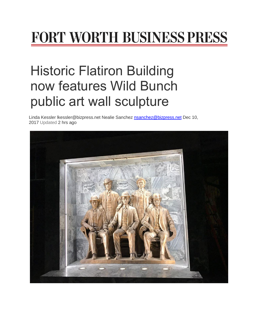## FORT WORTH BUSINESS PRESS

## Historic Flatiron Building now features Wild Bunch public art wall sculpture

Linda Kessler Ikessler@bizpress.net Nealie Sanchez [nsanchez@bizpress.net](mailto:nsanchez@bizpress.net) Dec 10, 2017 Updated 2 hrs ago

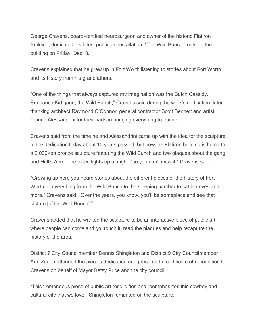George Cravens, board-certified neurosurgeon and owner of the historic Flatiron Building, dedicated his latest public art installation, "The Wild Bunch," outside the building on Friday, Dec. 8.

Cravens explained that he grew up in Fort Worth listening to stories about Fort Worth and its history from his grandfathers.

"One of the things that always captured my imagination was the Butch Cassidy, Sundance Kid gang, the Wild Bunch," Cravens said during the work's dedication, later thanking architect Raymond O'Connor, general contractor Scott Bennett and artist Franco Alessandrini for their parts in bringing everything to fruition.

Cravens said from the time he and Alessandrini came up with the idea for the sculpture to the dedication today about 10 years passed, but now the Flatiron building is home to a 2,000-ton bronze sculpture featuring the Wild Bunch and two plaques about the gang and Hell's Acre. The piece lights up at night, "so you can't miss it," Cravens said.

"Growing up here you heard stories about the different pieces of the history of Fort Worth — everything from the Wild Bunch to the sleeping panther to cattle drives and more," Cravens said. "Over the years, you know, you'll be someplace and see that picture [of the Wild Bunch]."

Cravens added that he wanted the sculpture to be an interactive piece of public art where people can come and go, touch it, read the plaques and help recapture the history of the area.

District 7 City Councilmember Dennis Shingleton and District 9 City Councilmember Ann Zadeh attended the piece's dedication and presented a certificate of recognition to Cravens on behalf of Mayor Betsy Price and the city council.

"This tremendous piece of public art resolidifies and reemphasizes this cowboy and cultural city that we love," Shingleton remarked on the sculpture.